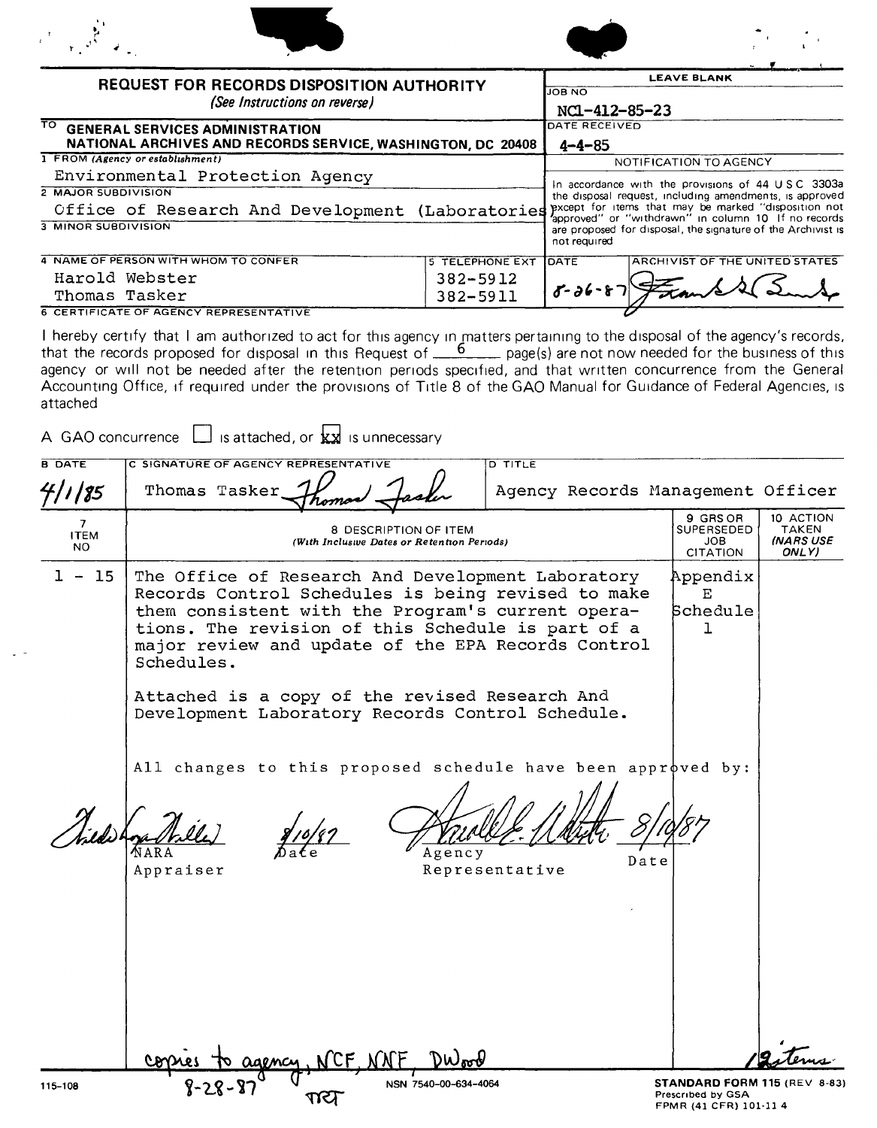|                                                          | <b>REQUEST FOR RECORDS DISPOSITION AUTHORITY</b>                                                                                                                                                                                                                                                                                                                                                                                                                                                           |                          | <b>JOB NO</b>                                                                                                                                                                                                                                          | <b>LEAVE BLANK</b>                                |                                                 |
|----------------------------------------------------------|------------------------------------------------------------------------------------------------------------------------------------------------------------------------------------------------------------------------------------------------------------------------------------------------------------------------------------------------------------------------------------------------------------------------------------------------------------------------------------------------------------|--------------------------|--------------------------------------------------------------------------------------------------------------------------------------------------------------------------------------------------------------------------------------------------------|---------------------------------------------------|-------------------------------------------------|
|                                                          | (See Instructions on reverse)                                                                                                                                                                                                                                                                                                                                                                                                                                                                              |                          | NC1-412-85-23                                                                                                                                                                                                                                          |                                                   |                                                 |
| TO.                                                      | <b>GENERAL SERVICES ADMINISTRATION</b>                                                                                                                                                                                                                                                                                                                                                                                                                                                                     |                          | DATE RECEIVED                                                                                                                                                                                                                                          |                                                   |                                                 |
|                                                          | NATIONAL ARCHIVES AND RECORDS SERVICE, WASHINGTON, DC 20408<br>1 FROM (Agency or establishment)                                                                                                                                                                                                                                                                                                                                                                                                            |                          | $4 - 4 - 85$                                                                                                                                                                                                                                           | NOTIFICATION TO AGENCY                            |                                                 |
|                                                          | Environmental Protection Agency                                                                                                                                                                                                                                                                                                                                                                                                                                                                            |                          |                                                                                                                                                                                                                                                        | In accordance with the provisions of 44 USC 3303a |                                                 |
| <b>2 MAJOR SUBDIVISION</b><br><b>3 MINOR SUBDIVISION</b> | Office of Research And Development (Laboratories                                                                                                                                                                                                                                                                                                                                                                                                                                                           |                          | the disposal request, including amendments, is approved<br>pxcept for items that may be marked "disposition not<br>approved" or "withdrawn" in column 10 If no records<br>are proposed for disposal, the signature of the Archivist is<br>not required |                                                   |                                                 |
|                                                          | 4 NAME OF PERSON WITH WHOM TO CONFER                                                                                                                                                                                                                                                                                                                                                                                                                                                                       | <b>5 TELEPHONE EXT</b>   | <b>DATE</b>                                                                                                                                                                                                                                            | ARCHIVIST OF THE UNITED STATES                    |                                                 |
|                                                          | Harold Webster                                                                                                                                                                                                                                                                                                                                                                                                                                                                                             | 382-5912                 | $8 - 36 - 8$                                                                                                                                                                                                                                           |                                                   |                                                 |
| Thomas Tasker                                            | <b>6 CERTIFICATE OF AGENCY REPRESENTATIVE</b>                                                                                                                                                                                                                                                                                                                                                                                                                                                              | 382-5911                 |                                                                                                                                                                                                                                                        |                                                   |                                                 |
| attached                                                 | I hereby certify that I am authorized to act for this agency in matters pertaining to the disposal of the agency's records,<br>that the records proposed for disposal in this Request of $\frac{6}{100}$ page(s) are not now needed for the business of this<br>agency or will not be needed after the retention periods specified, and that written concurrence from the General<br>Accounting Office, if required under the provisions of Title 8 of the GAO Manual for Guidance of Federal Agencies, is |                          |                                                                                                                                                                                                                                                        |                                                   |                                                 |
|                                                          | A GAO concurrence $\Box$ is attached, or $\Box$ is unnecessary                                                                                                                                                                                                                                                                                                                                                                                                                                             |                          |                                                                                                                                                                                                                                                        |                                                   |                                                 |
| <b>B DATE</b>                                            | C SIGNATURE OF AGENCY REPRESENTATIVE                                                                                                                                                                                                                                                                                                                                                                                                                                                                       | <b>D</b> TITLE           |                                                                                                                                                                                                                                                        |                                                   |                                                 |
| 4/1/85                                                   | Thomas Tasker                                                                                                                                                                                                                                                                                                                                                                                                                                                                                              |                          |                                                                                                                                                                                                                                                        | Agency Records Management Officer                 |                                                 |
| 7<br><b>ITEM</b><br>NO.                                  | 8 DESCRIPTION OF ITEM<br>(With Inclusive Dates or Retention Periods)                                                                                                                                                                                                                                                                                                                                                                                                                                       |                          |                                                                                                                                                                                                                                                        | 9 GRS OR<br><b>SUPERSEDED</b><br>JOB<br>CITATION  | 10 ACTION<br>TAKEN<br><b>INARS USE</b><br>ONLY) |
| 1.<br>$\sim$<br>- 15                                     | The Office of Research And Development Laboratory<br>Records Control Schedules is being revised to make<br>them consistent with the Program's current opera-<br>tions. The revision of this Schedule is part of a<br>major review and update of the EPA Records Control<br>Schedules.<br>Attached is a copy of the revised Research And<br>Development Laboratory Records Control Schedule.                                                                                                                |                          |                                                                                                                                                                                                                                                        | Appendix<br>E<br>Schedule<br>ı                    |                                                 |
|                                                          | All changes to this proposed schedule have been approved by:<br>Appraiser                                                                                                                                                                                                                                                                                                                                                                                                                                  | Agency<br>Representative | Date                                                                                                                                                                                                                                                   |                                                   |                                                 |

Dwood

 $\frac{1}{1}$  MSN 7540-00-634-4064

NCF, NNF

agency

℧

**TOT** 

STANDARD FORM 115 (REV 8-83) Prescrrbed by GSA FPMR (41 CFR) 101-11 4

<u>terns</u>

copies

 $\delta$ 

 $\sim$   $-$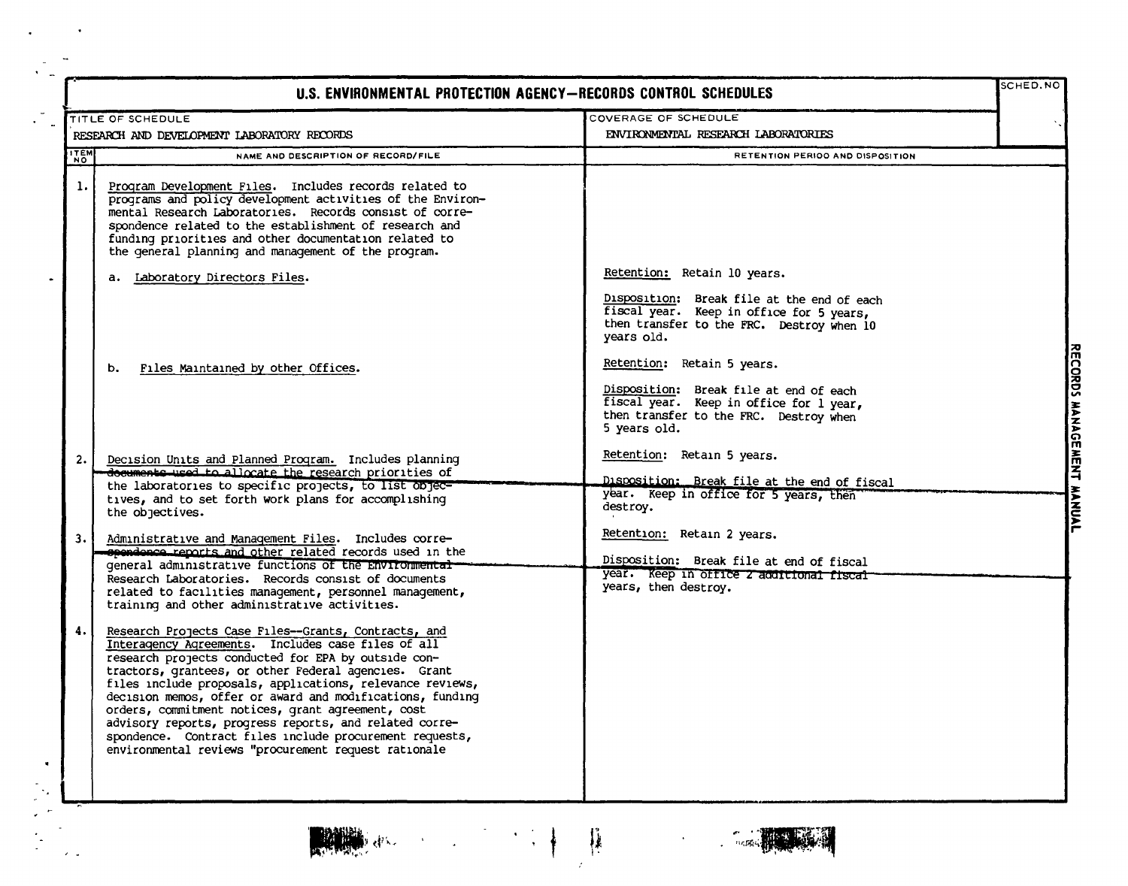| TITLE OF SCHEDULE<br>RESEARCH AND DEVELOPMENT LABORATORY RECORDS<br>NAME AND DESCRIPTION OF RECORD/FILE                                                                                                                                                                                                                                                                                                                                                                                                                                                                               | COVERAGE OF SCHEDULE<br>ENVIRONMENTAL RESEARCH LABORATORIES<br>RETENTION PERIOO AND DISPOSITION                                                                           |                                        |
|---------------------------------------------------------------------------------------------------------------------------------------------------------------------------------------------------------------------------------------------------------------------------------------------------------------------------------------------------------------------------------------------------------------------------------------------------------------------------------------------------------------------------------------------------------------------------------------|---------------------------------------------------------------------------------------------------------------------------------------------------------------------------|----------------------------------------|
|                                                                                                                                                                                                                                                                                                                                                                                                                                                                                                                                                                                       |                                                                                                                                                                           |                                        |
|                                                                                                                                                                                                                                                                                                                                                                                                                                                                                                                                                                                       |                                                                                                                                                                           |                                        |
| Program Development Files. Includes records related to<br>programs and policy development activities of the Environ-<br>mental Research Laboratories. Records consist of corre-<br>spondence related to the establishment of research and<br>funding priorities and other documentation related to<br>the general planning and management of the program.                                                                                                                                                                                                                             |                                                                                                                                                                           |                                        |
| a. Laboratory Directors Files.                                                                                                                                                                                                                                                                                                                                                                                                                                                                                                                                                        | Retention: Retain 10 years.                                                                                                                                               |                                        |
|                                                                                                                                                                                                                                                                                                                                                                                                                                                                                                                                                                                       | Disposition: Break file at the end of each<br>fiscal year. Keep in office for 5 years,<br>then transfer to the FRC. Destroy when 10<br>years old.                         |                                        |
| Files Maintained by other Offices.<br>b.                                                                                                                                                                                                                                                                                                                                                                                                                                                                                                                                              | Retention: Retain 5 years.                                                                                                                                                |                                        |
|                                                                                                                                                                                                                                                                                                                                                                                                                                                                                                                                                                                       | Disposition: Break file at end of each<br>fiscal year. Keep in office for 1 year,<br>then transfer to the FRC. Destroy when<br>5 years old.                               |                                        |
| Decision Units and Planned Program. Includes planning                                                                                                                                                                                                                                                                                                                                                                                                                                                                                                                                 | Retention: Retain 5 years.                                                                                                                                                |                                        |
|                                                                                                                                                                                                                                                                                                                                                                                                                                                                                                                                                                                       | Disposition: Break file at the end of fiscal                                                                                                                              |                                        |
| tives, and to set forth work plans for accomplishing<br>the objectives.                                                                                                                                                                                                                                                                                                                                                                                                                                                                                                               | destroy.                                                                                                                                                                  |                                        |
| Administrative and Management Files. Includes corre-                                                                                                                                                                                                                                                                                                                                                                                                                                                                                                                                  | Retention: Retain 2 years.                                                                                                                                                |                                        |
| general administrative functions of the Environmental-<br>Research Laboratories. Records consist of documents<br>related to facilities management, personnel management,<br>training and other administrative activities.                                                                                                                                                                                                                                                                                                                                                             | Disposition: Break file at end of fiscal<br>year. Keep in office 2 additional fiscal<br>years, then destroy.                                                              |                                        |
| Research Projects Case Files--Grants, Contracts, and<br>Interagency Agreements. Includes case files of all<br>research projects conducted for EPA by outside con-<br>tractors, grantees, or other Federal agencies. Grant<br>files include proposals, applications, relevance reviews,<br>decision memos, offer or award and modifications, funding<br>orders, commitment notices, grant agreement, cost<br>advisory reports, progress reports, and related corre-<br>spondence. Contract files include procurement requests,<br>environmental reviews "procurement request rationale |                                                                                                                                                                           |                                        |
|                                                                                                                                                                                                                                                                                                                                                                                                                                                                                                                                                                                       | documents used to allocate the research priorities of<br>the laboratories to specific projects, to list objec-<br>spondonce reports and other related records used in the | year. Keep in office for 5 years, then |



 $\lambda_{\rm max}$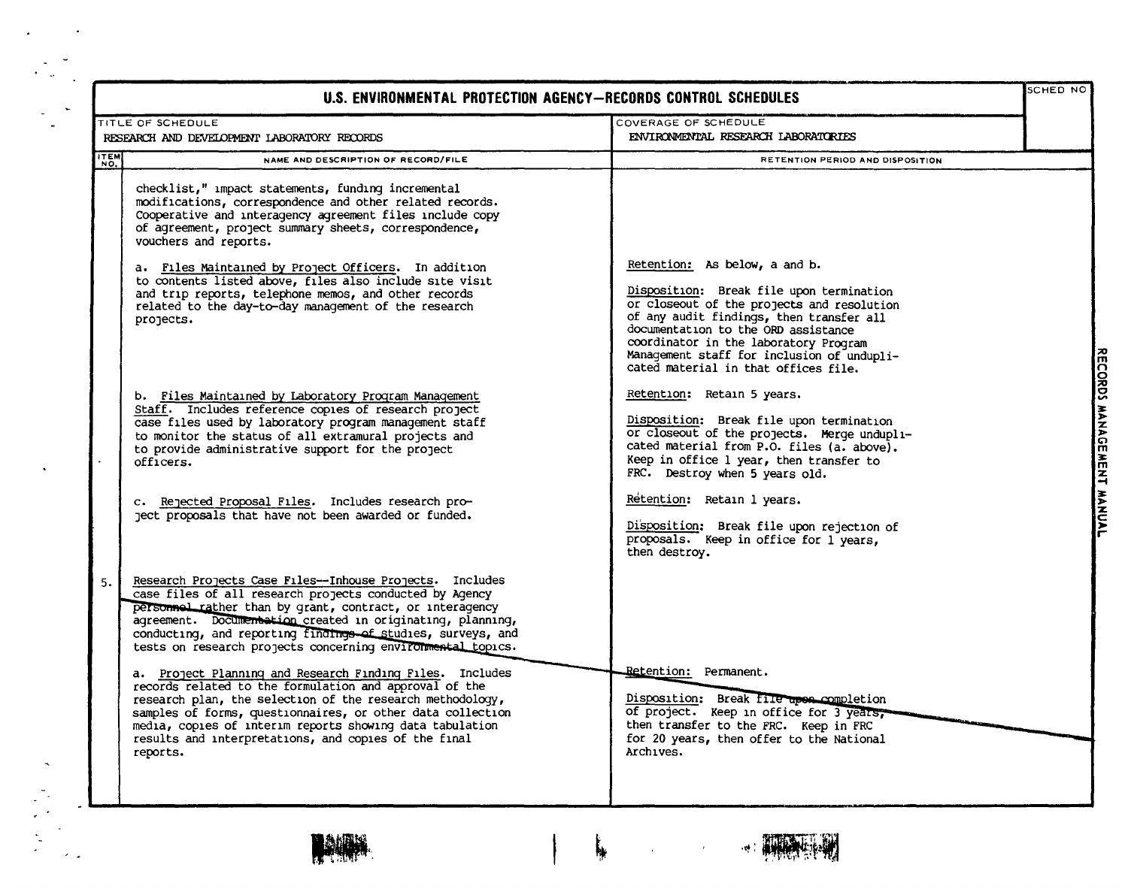|      | U.S. ENVIRONMENTAL PROTECTION AGENCY-RECORDS CONTROL SCHEDULES                                                                                                                                                                                                                                                                                                                |                                                                                                                                                                                                                                                                                                                                           | SCHED NO                  |
|------|-------------------------------------------------------------------------------------------------------------------------------------------------------------------------------------------------------------------------------------------------------------------------------------------------------------------------------------------------------------------------------|-------------------------------------------------------------------------------------------------------------------------------------------------------------------------------------------------------------------------------------------------------------------------------------------------------------------------------------------|---------------------------|
|      | TITLE OF SCHEDULE<br>RESEARCH AND DEVELOPMENT LABORATORY RECORDS                                                                                                                                                                                                                                                                                                              | COVERAGE OF SCHEDULE<br>ENVIRONMENTAL RESEARCH LABORATORIES                                                                                                                                                                                                                                                                               |                           |
| ITEM | NAME AND DESCRIPTION OF RECORD/FILE                                                                                                                                                                                                                                                                                                                                           | <b>RETENTION PERIOD AND DISPOSITION</b>                                                                                                                                                                                                                                                                                                   |                           |
|      | checklist," impact statements, funding incremental<br>modifications, correspondence and other related records.<br>Cooperative and interagency agreement files include copy<br>of agreement, project summary sheets, correspondence,<br>vouchers and reports.                                                                                                                  |                                                                                                                                                                                                                                                                                                                                           |                           |
|      | a. Files Maintained by Project Officers. In addition<br>to contents listed above, files also include site visit<br>and trip reports, telephone memos, and other records<br>related to the day-to-day management of the research<br>projects.                                                                                                                                  | Retention: As below, a and b.<br>Disposition: Break file upon termination<br>or closeout of the projects and resolution<br>of any audit findings, then transfer all<br>documentation to the ORD assistance<br>coordinator in the laboratory Program<br>Management staff for inclusion of undupli-<br>cated material in that offices file. |                           |
|      | b. Files Maintained by Laboratory Program Management<br>Staff. Includes reference copies of research project<br>case files used by laboratory program management staff<br>to monitor the status of all extramural projects and<br>to provide administrative support for the project<br>officers.                                                                              | Retention: Retain 5 years.<br>Disposition: Break file upon termination<br>or closeout of the projects. Merge undupli-<br>cated material from P.O. files (a. above).<br>Keep in office 1 year, then transfer to<br>FRC. Destroy when 5 years old.                                                                                          | RECORDS MANAGEMENT MANUAL |
|      | c. Rejected Proposal Files. Includes research pro-<br>ject proposals that have not been awarded or funded.                                                                                                                                                                                                                                                                    | Retention: Retain 1 years.<br>Disposition: Break file upon rejection of<br>proposals. Keep in office for l years,<br>then destroy.                                                                                                                                                                                                        |                           |
| 5.   | Research Projects Case Files--Inhouse Projects. Includes<br>case files of all research projects conducted by Agency<br>personnel rather than by grant, contract, or interagency<br>agreement. Documentation created in originating, planning,<br>conducting, and reporting findings of studies, surveys, and<br>tests on research projects concerning environmental topics.   |                                                                                                                                                                                                                                                                                                                                           |                           |
|      | a. Project Planning and Research Finding Files. Includes<br>records related to the formulation and approval of the<br>research plan, the selection of the research methodology,<br>samples of forms, questionnaires, or other data collection<br>media, copies of interim reports showing data tabulation<br>results and interpretations, and copies of the final<br>reports. | Retention: Permanent.<br>Disposition: Break file upon completion<br>of project. Keep in office for 3 years,<br>then transfer to the FRC. Keep in FRC<br>for 20 years, then offer to the National<br>Archives.                                                                                                                             |                           |



 $\bullet$ 

 $\ddot{\phantom{a}}$ 

 $\sim$   $\sim$ 

÷.

 $\frac{1}{\epsilon}$ 



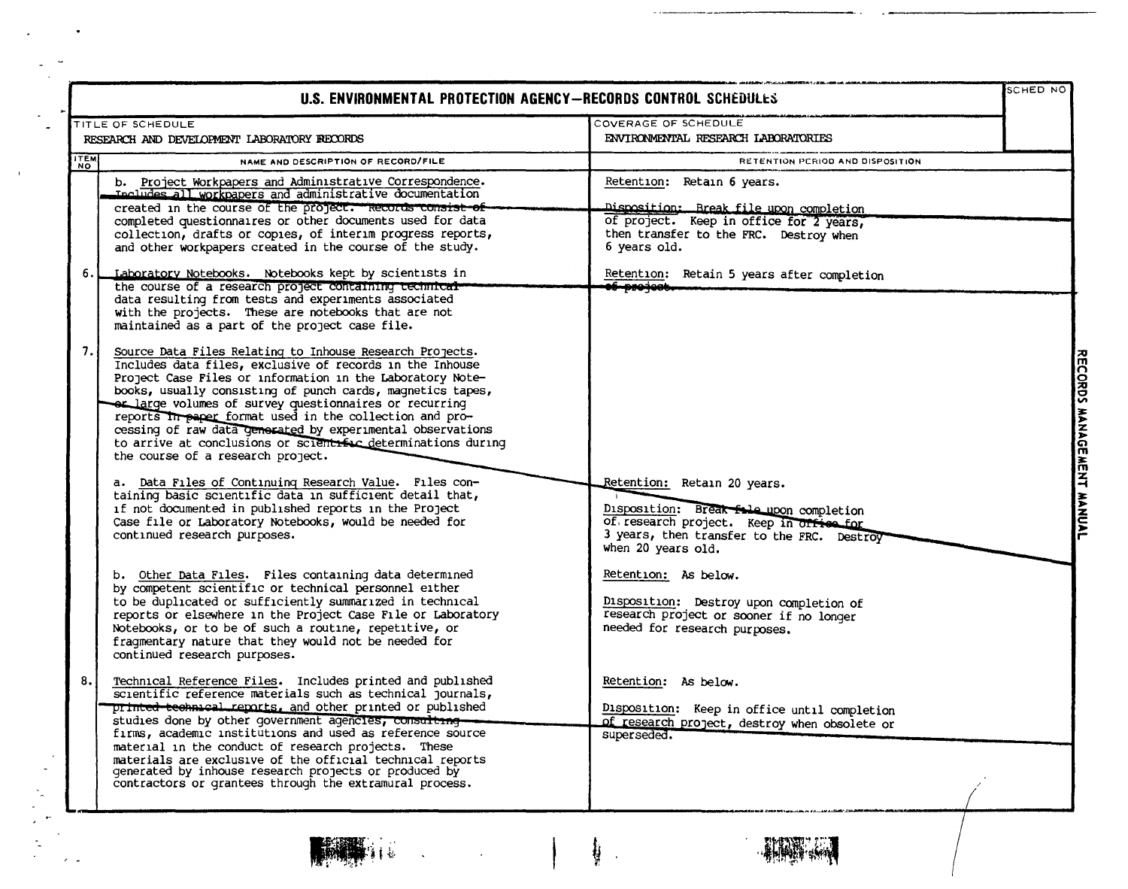|                                             | U.S. ENVIRONMENTAL PROTECTION AGENCY-RECORDS CONTROL SCHEDULES                                                                                                                                                                                                                                                                                                                                                                                                                                                                                     |                                                                                                                                                                                       | SCHED NO                  |
|---------------------------------------------|----------------------------------------------------------------------------------------------------------------------------------------------------------------------------------------------------------------------------------------------------------------------------------------------------------------------------------------------------------------------------------------------------------------------------------------------------------------------------------------------------------------------------------------------------|---------------------------------------------------------------------------------------------------------------------------------------------------------------------------------------|---------------------------|
|                                             | TITLE OF SCHEDULE                                                                                                                                                                                                                                                                                                                                                                                                                                                                                                                                  | COVERAGE OF SCHEDULE                                                                                                                                                                  |                           |
| RESEARCH AND DEVELOPMENT LABORATORY RECORDS |                                                                                                                                                                                                                                                                                                                                                                                                                                                                                                                                                    | ENVIRONMENTAL RESEARCH LABORATORIES                                                                                                                                                   |                           |
| <b>ITEM</b>                                 | NAME AND DESCRIPTION OF RECORD/FILE                                                                                                                                                                                                                                                                                                                                                                                                                                                                                                                | RETENTION PERIOD AND DISPOSITION                                                                                                                                                      |                           |
|                                             | b. Project Workpapers and Administrative Correspondence.<br>Includes all workpapers and administrative documentation<br>created in the course of the project. Records consist of<br>completed questionnaires or other documents used for data<br>collection, drafts or copies, of interim progress reports,<br>and other workpapers created in the course of the study.                                                                                                                                                                            | Retention: Retain 6 years.<br>Disposition: Break file upon completion<br>of project. Keep in office for 2 years,<br>then transfer to the FRC. Destroy when<br>6 years old.            |                           |
| 6.                                          | Laboratory Notebooks. Notebooks kept by scientists in<br>the course of a research project containing technical-<br>data resulting from tests and experiments associated<br>with the projects. These are notebooks that are not<br>maintained as a part of the project case file.                                                                                                                                                                                                                                                                   | Retention: Retain 5 years after completion<br><del>li projec</del> i                                                                                                                  |                           |
| 7.                                          | Source Data Files Relating to Inhouse Research Projects.<br>Includes data files, exclusive of records in the Inhouse<br>Project Case Files or information in the Laboratory Note-<br>books, usually consisting of punch cards, magnetics tapes,<br>or large volumes of survey questionnaires or recurring<br>reports In paper format used in the collection and pro-<br>cessing of raw data generated by experimental observations<br>to arrive at conclusions or scientific determinations during<br>the course of a research project.            |                                                                                                                                                                                       | RECORDS MANAGEMENT MANUAL |
|                                             | a. Data Files of Continuing Research Value. Files con-<br>taining basic scientific data in sufficient detail that,<br>if not documented in published reports in the Project<br>Case file or Laboratory Notebooks, would be needed for<br>continued research purposes.                                                                                                                                                                                                                                                                              | Retention: Retain 20 years.<br>Disposition: Break fole upon completion<br>of research project. Keep in orfice for<br>3 years, then transfer to the FRC. Destroy<br>when 20 years old. |                           |
|                                             | b. Other Data Files. Files containing data determined<br>by competent scientific or technical personnel either<br>to be duplicated or sufficiently summarized in technical<br>reports or elsewhere in the Project Case File or Laboratory<br>Notebooks, or to be of such a routine, repetitive, or<br>fragmentary nature that they would not be needed for<br>continued research purposes.                                                                                                                                                         | Retention: As below.<br>Disposition: Destroy upon completion of<br>research project or sooner if no longer<br>needed for research purposes.                                           |                           |
| 8.1                                         | Technical Reference Files. Includes printed and published<br>scientific reference materials such as technical journals,<br>printed technical reports, and other printed or published<br>studies done by other government agencies, consulting<br>firms, academic institutions and used as reference source<br>material in the conduct of research projects. These<br>materials are exclusive of the official technical reports<br>generated by inhouse research projects or produced by<br>contractors or grantees through the extramural process. | Retention: As below.<br>Disposition: Keep in office until completion<br>of research project, destroy when obsolete or<br>superseded.                                                  |                           |



 $\ddot{\phantom{a}}$ 

 $\sim$   $\alpha$ 

 $\mathbf{I}$ 

 $\epsilon$  .

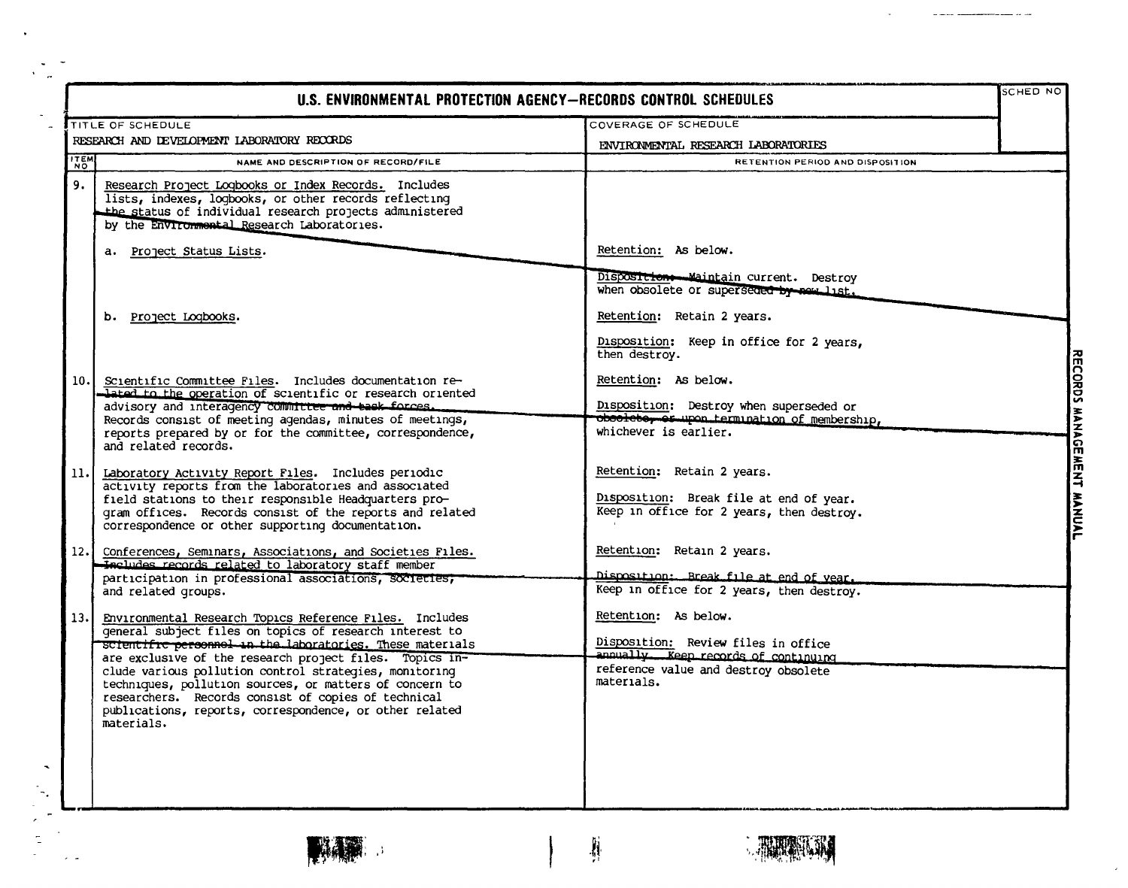| U.S. ENVIRONMENTAL PROTECTION AGENCY-RECORDS CONTROL SCHEDULES |                                                                                                                                                                                                                                                                                                                                                                                                                                                                                                             |                                                                                                                                                           | <b>SCHED NO</b>           |  |
|----------------------------------------------------------------|-------------------------------------------------------------------------------------------------------------------------------------------------------------------------------------------------------------------------------------------------------------------------------------------------------------------------------------------------------------------------------------------------------------------------------------------------------------------------------------------------------------|-----------------------------------------------------------------------------------------------------------------------------------------------------------|---------------------------|--|
|                                                                | TITLE OF SCHEDULE                                                                                                                                                                                                                                                                                                                                                                                                                                                                                           | COVERAGE OF SCHEDULE                                                                                                                                      |                           |  |
| RESEARCH AND DEVELOPMENT LABORATORY RECORDS                    |                                                                                                                                                                                                                                                                                                                                                                                                                                                                                                             | ENVIRONMENTAL RESEARCH LABORATORIES                                                                                                                       |                           |  |
| <b>ITEM</b>                                                    | NAME AND DESCRIPTION OF RECORD/FILE                                                                                                                                                                                                                                                                                                                                                                                                                                                                         | RETENTION PERIOD AND DISPOSITION                                                                                                                          |                           |  |
| 9.                                                             | Research Project Logbooks or Index Records. Includes<br>lists, indexes, logbooks, or other records reflecting<br>the status of individual research projects administered<br>by the Environmental Research Laboratories.                                                                                                                                                                                                                                                                                     |                                                                                                                                                           |                           |  |
|                                                                | a. Project Status Lists.                                                                                                                                                                                                                                                                                                                                                                                                                                                                                    | Retention: As below.                                                                                                                                      |                           |  |
|                                                                |                                                                                                                                                                                                                                                                                                                                                                                                                                                                                                             | Disposition Maintain current. Destroy<br>when obsolete or superseded by new list.                                                                         |                           |  |
|                                                                | b. Project Logbooks.                                                                                                                                                                                                                                                                                                                                                                                                                                                                                        | Retention: Retain 2 years.                                                                                                                                |                           |  |
|                                                                |                                                                                                                                                                                                                                                                                                                                                                                                                                                                                                             | Disposition: Keep in office for 2 years.<br>then destroy.                                                                                                 |                           |  |
| 10.                                                            | Scientific Committee Files. Includes documentation re-<br>lated to the operation of scientific or research oriented<br>advisory and interagency committee and bask forces.                                                                                                                                                                                                                                                                                                                                  | Retention: As below.<br>Disposition: Destroy when superseded or                                                                                           |                           |  |
|                                                                | Records consist of meeting agendas, minutes of meetings,<br>reports prepared by or for the committee, correspondence,<br>and related records.                                                                                                                                                                                                                                                                                                                                                               | obsoleto, or upon termination of membership,<br>whichever is earlier.                                                                                     |                           |  |
| 11.                                                            | Laboratory Activity Report Files. Includes periodic<br>activity reports from the laboratories and associated<br>field stations to their responsible Headquarters pro-<br>gram offices. Records consist of the reports and related<br>correspondence or other supporting documentation.                                                                                                                                                                                                                      | Retention: Retain 2 years.<br>Disposition: Break file at end of year.<br>Keep in office for 2 years, then destroy.                                        | RECORDS MANAGEMENT MANUAL |  |
|                                                                | 12. Conferences, Seminars, Associations, and Societies Files.<br>Includes records related to laboratory staff member<br>participation in professional associations, societies,<br>and related groups.                                                                                                                                                                                                                                                                                                       | Retention: Retain 2 years.<br>Disposition: Break file at end of year.<br>Keep in office for 2 years, then destroy.                                        |                           |  |
| 13.1                                                           | Environmental Research Topics Reference Files. Includes<br>general subject files on topics of research interest to<br><del>scientific personnel in the labo</del> ratories. These materials<br>are exclusive of the research project files. Topics in-<br>clude various pollution control strategies, monitoring<br>techniques, pollution sources, or matters of concern to<br>researchers. Records consist of copies of technical<br>publications, reports, correspondence, or other related<br>materials. | Retention: As below.<br>Disposition: Review files in office<br>annually. Keep records of continuing<br>reference value and destroy obsolete<br>materials. |                           |  |

**TANK** 

.

 $\overline{\mathcal{A}}$ 

 $\epsilon$  .

Ķ



 $\lambda$ 

 $\sim$   $-$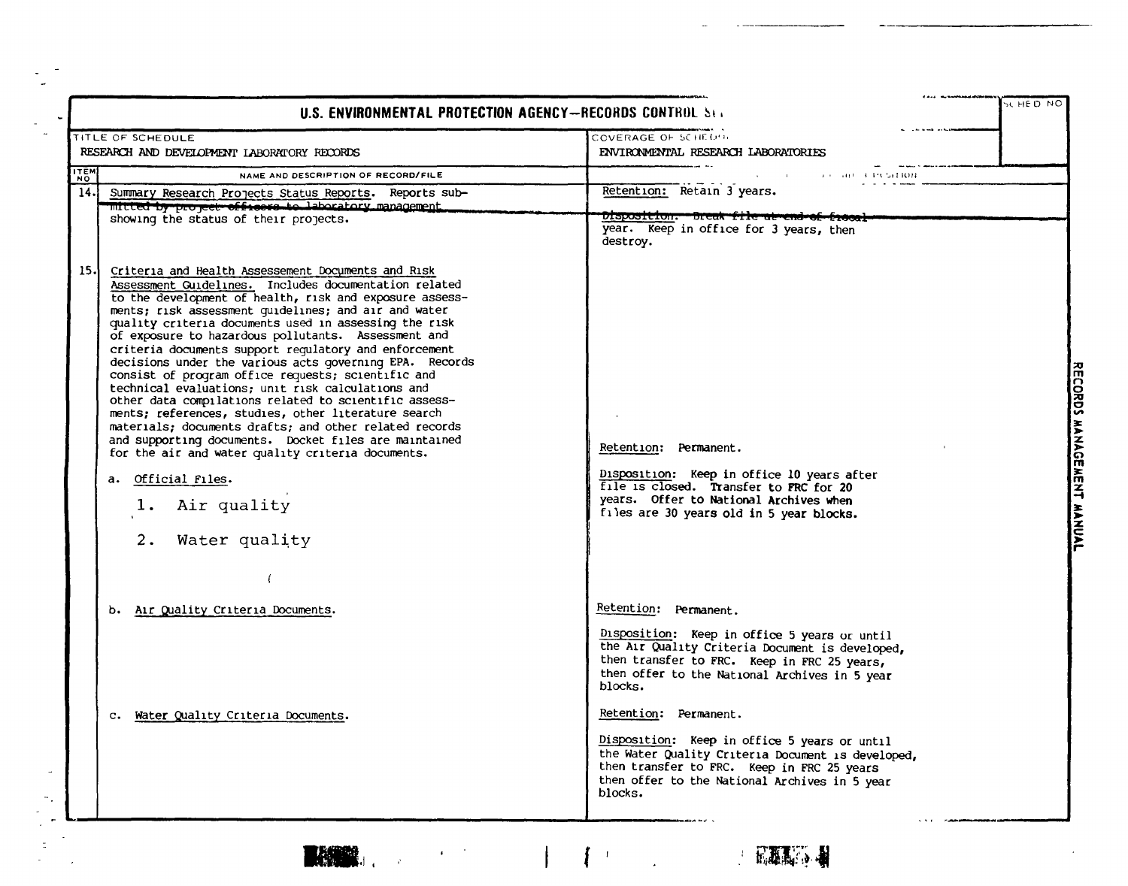| U.S. ENVIRONMENTAL PROTECTION AGENCY-RECORDS CONTROL SET                                                                                                                                                                                                                                                                                                                                                                                                                                                                                                                                                                                                                                                                                                                                                                                                                                                                                    |                                                                                                                                                                                                                                      | SC HE DINC                |
|---------------------------------------------------------------------------------------------------------------------------------------------------------------------------------------------------------------------------------------------------------------------------------------------------------------------------------------------------------------------------------------------------------------------------------------------------------------------------------------------------------------------------------------------------------------------------------------------------------------------------------------------------------------------------------------------------------------------------------------------------------------------------------------------------------------------------------------------------------------------------------------------------------------------------------------------|--------------------------------------------------------------------------------------------------------------------------------------------------------------------------------------------------------------------------------------|---------------------------|
| TITLE OF SCHEDULE<br>RESEARCH AND DEVELOPMENT LABORATORY RECORDS                                                                                                                                                                                                                                                                                                                                                                                                                                                                                                                                                                                                                                                                                                                                                                                                                                                                            | COVERAGE OF SCHEDUL<br>ENVIRONMENTAL RESEARCH LABORATORIES                                                                                                                                                                           |                           |
| <b>HEN</b><br>NAME AND DESCRIPTION OF RECORD/FILE                                                                                                                                                                                                                                                                                                                                                                                                                                                                                                                                                                                                                                                                                                                                                                                                                                                                                           | 9 - 80 - FRSHOM                                                                                                                                                                                                                      |                           |
| $\overline{14}$ .<br>Summary Research Projects Status Reports.<br>Reports sub-<br>'mitted by project officers to laboratory management<br>showing the status of their projects.                                                                                                                                                                                                                                                                                                                                                                                                                                                                                                                                                                                                                                                                                                                                                             | Retention: Retain 3 years.<br>Disposition. Break file at en<br>year. Keep in office for 3 years, then<br>destroy.                                                                                                                    |                           |
| 15.<br>Criteria and Health Assessement Documents and Risk<br>Assessment Guidelines. Includes documentation related<br>to the development of health, risk and exposure assess-<br>ments; risk assessment guidelines; and air and water<br>quality criteria documents used in assessing the risk<br>of exposure to hazardous pollutants. Assessment and<br>criteria documents support requlatory and enforcement<br>decisions under the various acts governing EPA. Records<br>consist of program office requests; scientific and<br>technical evaluations; unit risk calculations and<br>other data compilations related to scientific assess-<br>ments; references, studies, other literature search<br>materials: documents drafts; and other related records<br>and supporting documents. Docket files are maintained<br>for the air and water quality criteria documents.<br>a. Official Files.<br>Air quality<br>1.<br>2. Water quality | Retention: Permanent.<br>Disposition: Keep in office 10 years after<br>file is closed. Transfer to FRC for 20<br>years. Offer to National Archives when<br>files are 30 years old in 5 year blocks.                                  | RECORDS MANAGEMENT MANUAL |
| b. Air Quality Criteria Documents.                                                                                                                                                                                                                                                                                                                                                                                                                                                                                                                                                                                                                                                                                                                                                                                                                                                                                                          | Retention: Permanent.<br>Disposition: Keep in office 5 years or until<br>the Air Quality Criteria Document is developed,<br>then transfer to FRC. Keep in FRC 25 years,<br>then offer to the National Archives in 5 year<br>blocks.  |                           |
| c. Water Quality Criteria Documents.                                                                                                                                                                                                                                                                                                                                                                                                                                                                                                                                                                                                                                                                                                                                                                                                                                                                                                        | Retention: Permanent.<br>Disposition: Keep in office 5 years or until<br>the Water Quality Criteria Document is developed,<br>then transfer to FRC. Keep in FRC 25 years<br>then offer to the National Archives in 5 year<br>blocks. |                           |



 $\frac{1}{2}$ 

 $\overline{a}$ 

 $\bar{\phantom{a}}$ 

 $\bar{z}$ 

 $\epsilon \sim 2$ 

 $\mathfrak{f}$ 

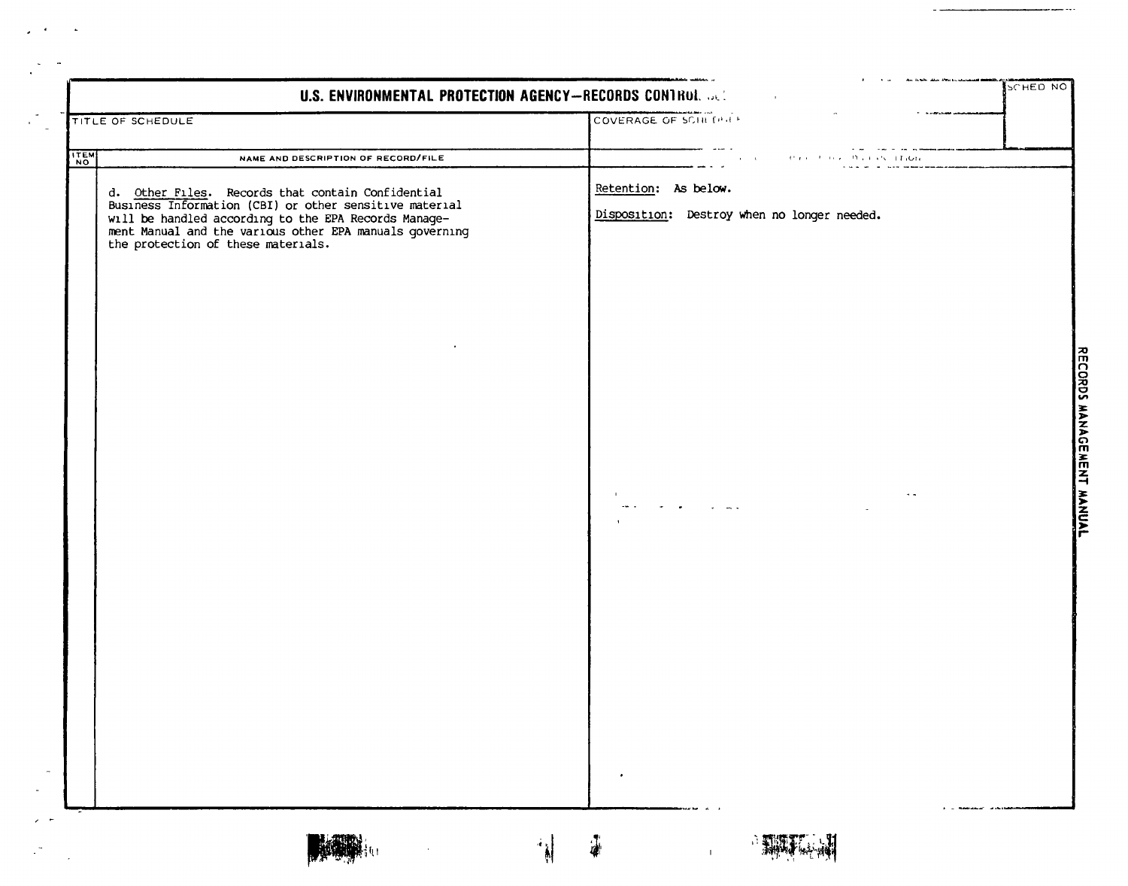|      | <b>TITLE OF SCHEDULE</b>                                                                                                                                                                                        | COVERAGE OF SCHILDHE                                                |  |
|------|-----------------------------------------------------------------------------------------------------------------------------------------------------------------------------------------------------------------|---------------------------------------------------------------------|--|
| ITEM | NAME AND DESCRIPTION OF RECORD/FILE                                                                                                                                                                             | <b><i>POLE CALL LEIGH</i></b><br>of the property of the property of |  |
|      | d. Other Files. Records that contain Confidential                                                                                                                                                               | Retention: As below.                                                |  |
|      | Business Information (CBI) or other sensitive material<br>will be handled according to the EPA Records Manage-<br>ment Manual and the various other EPA manuals governing<br>the protection of these materials. | Disposition: Destroy when no longer needed.                         |  |
|      |                                                                                                                                                                                                                 |                                                                     |  |
|      |                                                                                                                                                                                                                 |                                                                     |  |
|      |                                                                                                                                                                                                                 |                                                                     |  |
|      |                                                                                                                                                                                                                 |                                                                     |  |
|      |                                                                                                                                                                                                                 |                                                                     |  |
|      |                                                                                                                                                                                                                 |                                                                     |  |
|      |                                                                                                                                                                                                                 |                                                                     |  |
|      |                                                                                                                                                                                                                 |                                                                     |  |
|      |                                                                                                                                                                                                                 | $\bullet$                                                           |  |
|      |                                                                                                                                                                                                                 | $\frac{1}{2}$                                                       |  |

 $\sim 10^{-4}$ 

 $\sim$  10  $\mu$ 

 $\begin{array}{cccccccccccccc} \multicolumn{2}{c}{} & \multicolumn{2}{c}{} & \multicolumn{2}{c}{} & \multicolumn{2}{c}{} & \multicolumn{2}{c}{} & \multicolumn{2}{c}{} & \multicolumn{2}{c}{} & \multicolumn{2}{c}{} & \multicolumn{2}{c}{} & \multicolumn{2}{c}{} & \multicolumn{2}{c}{} & \multicolumn{2}{c}{} & \multicolumn{2}{c}{} & \multicolumn{2}{c}{} & \multicolumn{2}{c}{} & \multicolumn{2}{c}{} & \multicolumn{2}{c}{} & \multicolumn{2}{c}{} & \multicolumn{2}{c}{} & \$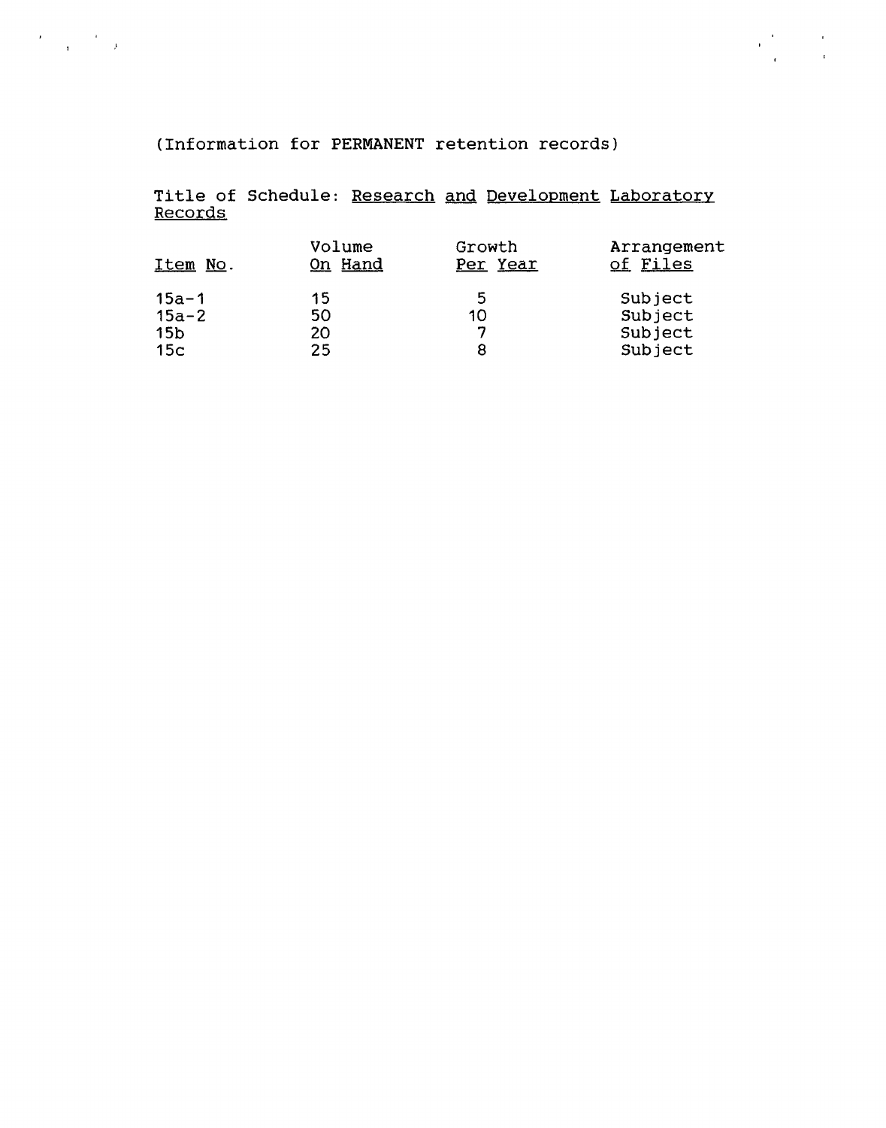(Information for PERMANENT retention records)

 $\label{eq:2} \frac{d\mathbf{y}}{d\mathbf{x}} = \frac{1}{\sqrt{2\pi}}\left(\frac{d\mathbf{y}}{d\mathbf{x}}\right)^2$ 

Title of Schedule: Research and Development Laboratory Records

 $\label{eq:2} \frac{\partial}{\partial t}\sum_{i=1}^N\frac{1}{\partial t_i}\left(\frac{d}{dt}\right)^2\frac{d}{dt}\left(\frac{d}{dt}\right)^2.$ 

| Item No.        | Volume<br>On Hand | Growth<br>Per Year | Arrangement<br>of Files |
|-----------------|-------------------|--------------------|-------------------------|
| $15a - 1$       | 15                | -5                 | Subject                 |
| $15a - 2$       | 50                | 10                 | Subject                 |
| 15 <sub>b</sub> | 20                | ¬                  | Subject                 |
| 15 <sub>c</sub> | 25                |                    | Subject                 |